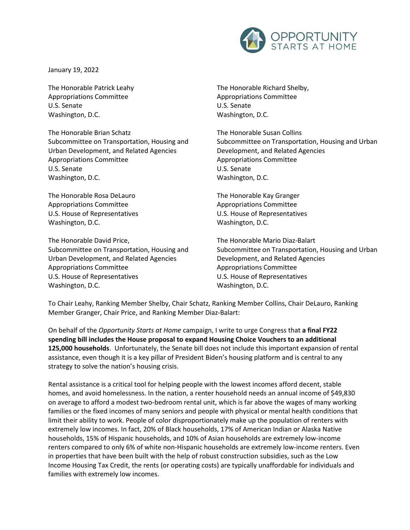

January 19, 2022

The Honorable Patrick Leahy Appropriations Committee U.S. Senate Washington, D.C.

The Honorable Brian Schatz Subcommittee on Transportation, Housing and Urban Development, and Related Agencies Appropriations Committee U.S. Senate Washington, D.C.

The Honorable Rosa DeLauro Appropriations Committee U.S. House of Representatives Washington, D.C.

The Honorable David Price, Subcommittee on Transportation, Housing and Urban Development, and Related Agencies Appropriations Committee U.S. House of Representatives Washington, D.C.

The Honorable Richard Shelby, Appropriations Committee U.S. Senate Washington, D.C.

The Honorable Susan Collins Subcommittee on Transportation, Housing and Urban Development, and Related Agencies Appropriations Committee U.S. Senate Washington, D.C.

The Honorable Kay Granger Appropriations Committee U.S. House of Representatives Washington, D.C.

The Honorable Mario Diaz-Balart Subcommittee on Transportation, Housing and Urban Development, and Related Agencies Appropriations Committee U.S. House of Representatives Washington, D.C.

To Chair Leahy, Ranking Member Shelby, Chair Schatz, Ranking Member Collins, Chair DeLauro, Ranking Member Granger, Chair Price, and Ranking Member Diaz-Balart:

On behalf of the *Opportunity Starts at Home* campaign, I write to urge Congress that **a final FY22 spending bill includes the House proposal to expand Housing Choice Vouchers to an additional 125,000 households**. Unfortunately, the Senate bill does not include this important expansion of rental assistance, even though it is a key pillar of President Biden's housing platform and is central to any strategy to solve the nation's housing crisis.

Rental assistance is a critical tool for helping people with the lowest incomes afford decent, stable homes, and avoid homelessness. In the nation, a renter household needs an annual income of \$49,830 on average to afford a modest two-bedroom rental unit, which is far above the wages of many working families or the fixed incomes of many seniors and people with physical or mental health conditions that limit their ability to work. People of color disproportionately make up the population of renters with extremely low incomes. In fact, 20% of Black households, 17% of American Indian or Alaska Native households, 15% of Hispanic households, and 10% of Asian households are extremely low-income renters compared to only 6% of white non-Hispanic households are extremely low-income renters. Even in properties that have been built with the help of robust construction subsidies, such as the Low Income Housing Tax Credit, the rents (or operating costs) are typically unaffordable for individuals and families with extremely low incomes.